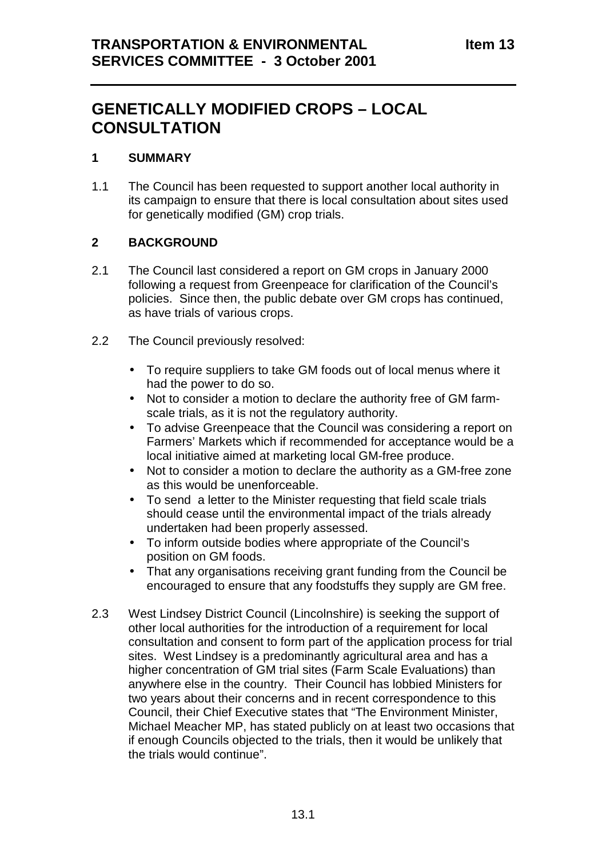# **GENETICALLY MODIFIED CROPS – LOCAL CONSULTATION**

#### **1 SUMMARY**

1.1 The Council has been requested to support another local authority in its campaign to ensure that there is local consultation about sites used for genetically modified (GM) crop trials.

# **2 BACKGROUND**

- 2.1 The Council last considered a report on GM crops in January 2000 following a request from Greenpeace for clarification of the Council's policies. Since then, the public debate over GM crops has continued, as have trials of various crops.
- 2.2 The Council previously resolved:
	- To require suppliers to take GM foods out of local menus where it had the power to do so.
	- Not to consider a motion to declare the authority free of GM farmscale trials, as it is not the regulatory authority.
	- To advise Greenpeace that the Council was considering a report on Farmers' Markets which if recommended for acceptance would be a local initiative aimed at marketing local GM-free produce.
	- Not to consider a motion to declare the authority as a GM-free zone as this would be unenforceable.
	- To send a letter to the Minister requesting that field scale trials should cease until the environmental impact of the trials already undertaken had been properly assessed.
	- To inform outside bodies where appropriate of the Council's position on GM foods.
	- That any organisations receiving grant funding from the Council be encouraged to ensure that any foodstuffs they supply are GM free.
- 2.3 West Lindsey District Council (Lincolnshire) is seeking the support of other local authorities for the introduction of a requirement for local consultation and consent to form part of the application process for trial sites. West Lindsey is a predominantly agricultural area and has a higher concentration of GM trial sites (Farm Scale Evaluations) than anywhere else in the country. Their Council has lobbied Ministers for two years about their concerns and in recent correspondence to this Council, their Chief Executive states that "The Environment Minister, Michael Meacher MP, has stated publicly on at least two occasions that if enough Councils objected to the trials, then it would be unlikely that the trials would continue".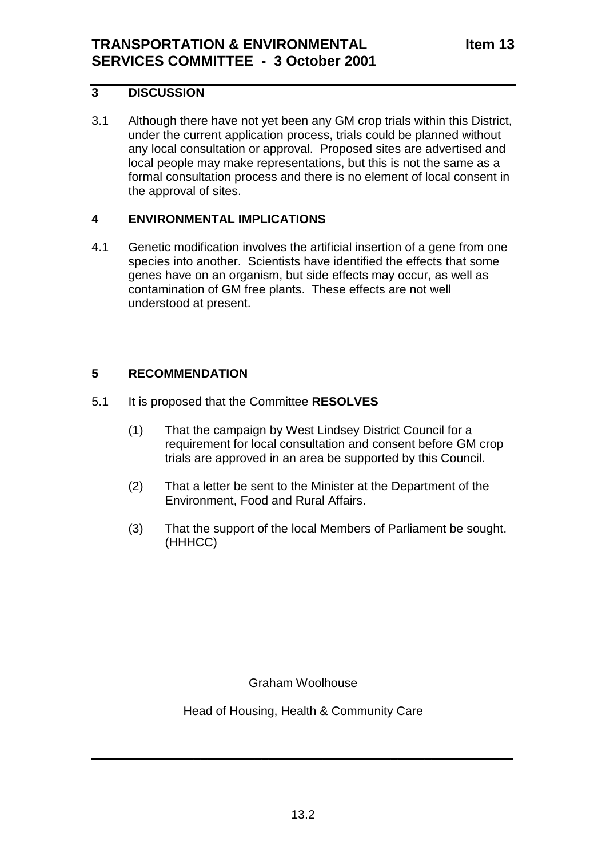# **3 DISCUSSION**

3.1 Although there have not yet been any GM crop trials within this District, under the current application process, trials could be planned without any local consultation or approval. Proposed sites are advertised and local people may make representations, but this is not the same as a formal consultation process and there is no element of local consent in the approval of sites.

#### **4 ENVIRONMENTAL IMPLICATIONS**

4.1 Genetic modification involves the artificial insertion of a gene from one species into another. Scientists have identified the effects that some genes have on an organism, but side effects may occur, as well as contamination of GM free plants. These effects are not well understood at present.

# **5 RECOMMENDATION**

- 5.1 It is proposed that the Committee **RESOLVES**
	- (1) That the campaign by West Lindsey District Council for a requirement for local consultation and consent before GM crop trials are approved in an area be supported by this Council.
	- (2) That a letter be sent to the Minister at the Department of the Environment, Food and Rural Affairs.
	- (3) That the support of the local Members of Parliament be sought. (HHHCC)

Graham Woolhouse

Head of Housing, Health & Community Care

 $\frac{1}{2}$  ,  $\frac{1}{2}$  ,  $\frac{1}{2}$  ,  $\frac{1}{2}$  ,  $\frac{1}{2}$  ,  $\frac{1}{2}$  ,  $\frac{1}{2}$  ,  $\frac{1}{2}$  ,  $\frac{1}{2}$  ,  $\frac{1}{2}$  ,  $\frac{1}{2}$  ,  $\frac{1}{2}$  ,  $\frac{1}{2}$  ,  $\frac{1}{2}$  ,  $\frac{1}{2}$  ,  $\frac{1}{2}$  ,  $\frac{1}{2}$  ,  $\frac{1}{2}$  ,  $\frac{1$